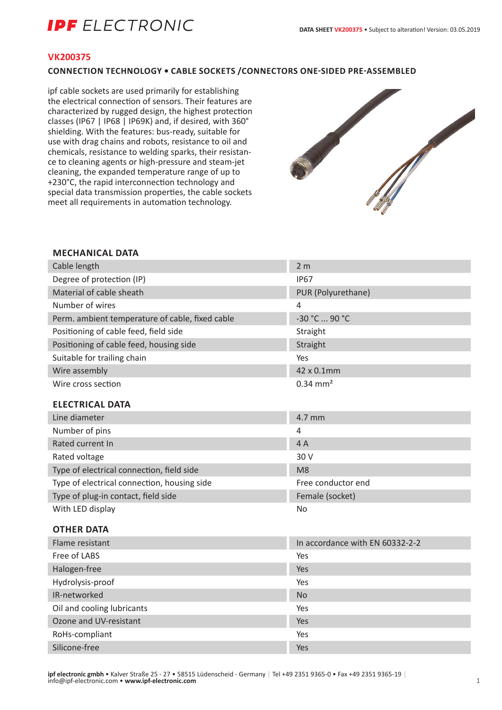# **IPF** ELECTRONIC

#### **VK200375**

#### **CONNECTION TECHNOLOGY • CABLE SOCKETS /CONNECTORS ONE-SIDED PRE-ASSEMBLED**

ipf cable sockets are used primarily for establishing the electrical connection of sensors. Their features are characterized by rugged design, the highest protection classes (IP67 | IP68 | IP69K) and, if desired, with 360° shielding. With the features: bus-ready, suitable for use with drag chains and robots, resistance to oil and chemicals, resistance to welding sparks, their resistance to cleaning agents or high-pressure and steam-jet cleaning, the expanded temperature range of up to +230°C, the rapid interconnection technology and special data transmission properties, the cable sockets meet all requirements in automation technology.



#### **MECHANICAL DATA**

| Cable length                                    | 2 <sub>m</sub>                  |
|-------------------------------------------------|---------------------------------|
| Degree of protection (IP)                       | <b>IP67</b>                     |
| Material of cable sheath                        | PUR (Polyurethane)              |
| Number of wires                                 | 4                               |
| Perm. ambient temperature of cable, fixed cable | -30 °C  90 °C                   |
| Positioning of cable feed, field side           | Straight                        |
| Positioning of cable feed, housing side         | Straight                        |
| Suitable for trailing chain                     | Yes                             |
| Wire assembly                                   | 42 x 0.1mm                      |
| Wire cross section                              | $0.34$ mm <sup>2</sup>          |
| <b>ELECTRICAL DATA</b>                          |                                 |
| Line diameter                                   | 4.7 mm                          |
| Number of pins                                  | 4                               |
| Rated current In                                | 4A                              |
| Rated voltage                                   | 30 V                            |
| Type of electrical connection, field side       | M <sub>8</sub>                  |
| Type of electrical connection, housing side     | Free conductor end              |
| Type of plug-in contact, field side             | Female (socket)                 |
| With LED display                                | <b>No</b>                       |
|                                                 |                                 |
| <b>OTHER DATA</b>                               |                                 |
| Flame resistant                                 | In accordance with EN 60332-2-2 |
| Free of LABS                                    | Yes                             |
| Halogen-free                                    | Yes                             |
| Hydrolysis-proof                                | Yes                             |
| IR-networked                                    | <b>No</b>                       |
| Oil and cooling lubricants                      | Yes                             |
| Ozone and UV-resistant                          | Yes                             |
| RoHs-compliant                                  | Yes                             |

Silicone-free Yes